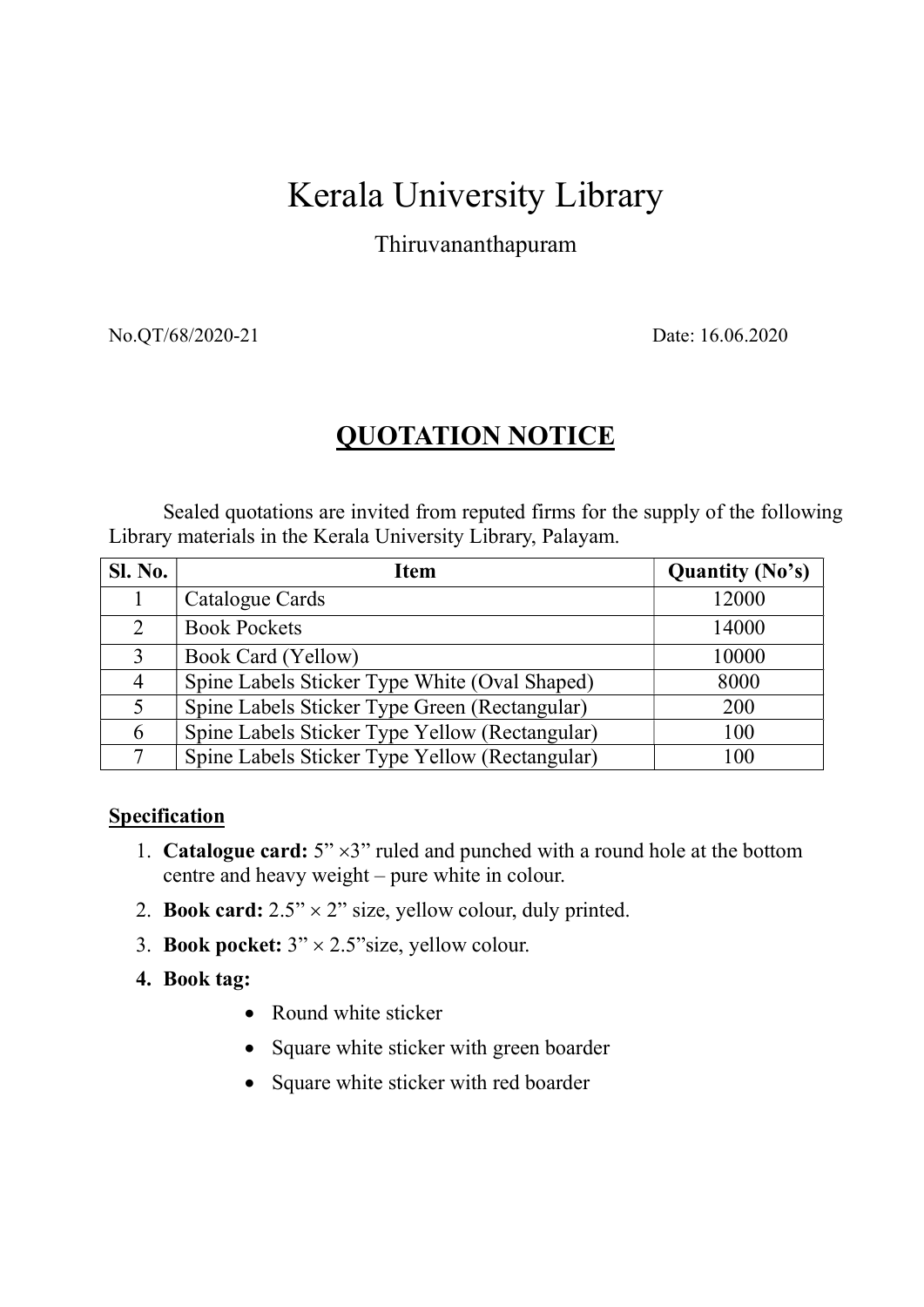## Kerala University Library

Thiruvananthapuram

No.QT/68/2020-21 Date: 16.06.2020

## QUOTATION NOTICE

Sealed quotations are invited from reputed firms for the supply of the following Library materials in the Kerala University Library, Palayam.

| <b>Sl. No.</b> | <b>Item</b>                                    | <b>Quantity (No's)</b> |
|----------------|------------------------------------------------|------------------------|
|                | Catalogue Cards                                | 12000                  |
| $\mathcal{L}$  | <b>Book Pockets</b>                            | 14000                  |
| $\mathcal{E}$  | Book Card (Yellow)                             | 10000                  |
| $\overline{4}$ | Spine Labels Sticker Type White (Oval Shaped)  | 8000                   |
|                | Spine Labels Sticker Type Green (Rectangular)  | 200                    |
| 6              | Spine Labels Sticker Type Yellow (Rectangular) | 100                    |
|                | Spine Labels Sticker Type Yellow (Rectangular) | 100                    |

## **Specification**

- 1. **Catalogue card:**  $5" \times 3"$  ruled and punched with a round hole at the bottom centre and heavy weight – pure white in colour.
- 2. Book card:  $2.5" \times 2"$  size, yellow colour, duly printed.
- 3. Book pocket:  $3" \times 2.5"$ size, yellow colour.
- 4. Book tag:
	- Round white sticker
	- Square white sticker with green boarder
	- Square white sticker with red boarder